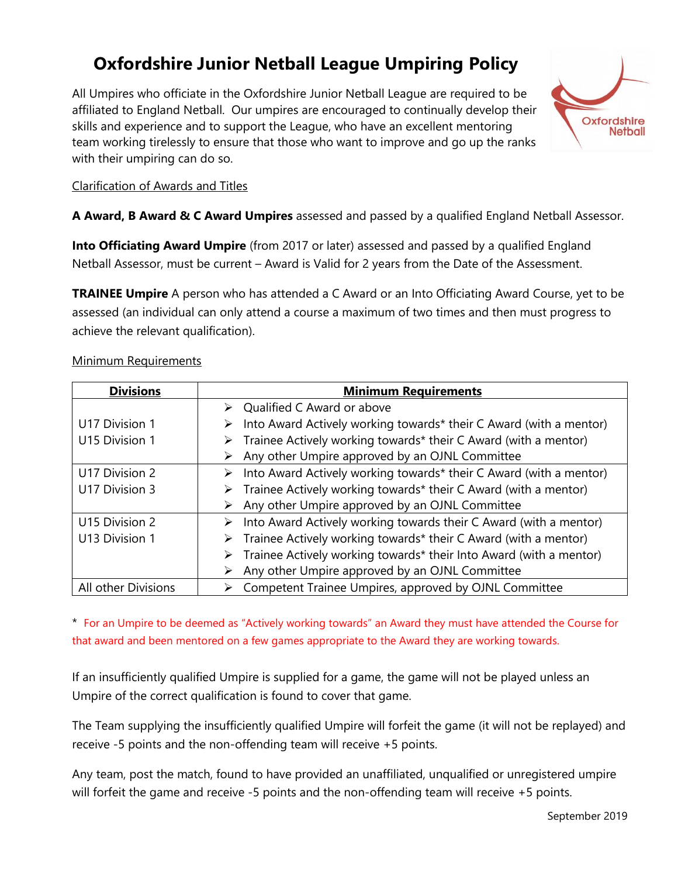# **Oxfordshire Junior Netball League Umpiring Policy**

All Umpires who officiate in the Oxfordshire Junior Netball League are required to be affiliated to England Netball. Our umpires are encouraged to continually develop their skills and experience and to support the League, who have an excellent mentoring team working tirelessly to ensure that those who want to improve and go up the ranks with their umpiring can do so.



# Clarification of Awards and Titles

**A Award, B Award & C Award Umpires** assessed and passed by a qualified England Netball Assessor.

**Into Officiating Award Umpire** (from 2017 or later) assessed and passed by a qualified England Netball Assessor, must be current – Award is Valid for 2 years from the Date of the Assessment.

**TRAINEE Umpire** A person who has attended a C Award or an Into Officiating Award Course, yet to be assessed (an individual can only attend a course a maximum of two times and then must progress to achieve the relevant qualification).

#### Minimum Requirements

| <b>Divisions</b>    | <b>Minimum Requirements</b>                                                         |  |
|---------------------|-------------------------------------------------------------------------------------|--|
|                     | $\triangleright$ Qualified C Award or above                                         |  |
| U17 Division 1      | Into Award Actively working towards* their C Award (with a mentor)                  |  |
| U15 Division 1      | Trainee Actively working towards* their C Award (with a mentor)                     |  |
|                     | Any other Umpire approved by an OJNL Committee                                      |  |
| U17 Division 2      | $\triangleright$ Into Award Actively working towards* their C Award (with a mentor) |  |
| U17 Division 3      | $\triangleright$ Trainee Actively working towards* their C Award (with a mentor)    |  |
|                     | Any other Umpire approved by an OJNL Committee                                      |  |
| U15 Division 2      | $\triangleright$ Into Award Actively working towards their C Award (with a mentor)  |  |
| U13 Division 1      | $\triangleright$ Trainee Actively working towards* their C Award (with a mentor)    |  |
|                     | Trainee Actively working towards* their Into Award (with a mentor)<br>➤             |  |
|                     | Any other Umpire approved by an OJNL Committee                                      |  |
| All other Divisions | Competent Trainee Umpires, approved by OJNL Committee                               |  |

\* For an Umpire to be deemed as "Actively working towards" an Award they must have attended the Course for that award and been mentored on a few games appropriate to the Award they are working towards.

If an insufficiently qualified Umpire is supplied for a game, the game will not be played unless an Umpire of the correct qualification is found to cover that game.

The Team supplying the insufficiently qualified Umpire will forfeit the game (it will not be replayed) and receive -5 points and the non-offending team will receive +5 points.

Any team, post the match, found to have provided an unaffiliated, unqualified or unregistered umpire will forfeit the game and receive -5 points and the non-offending team will receive +5 points.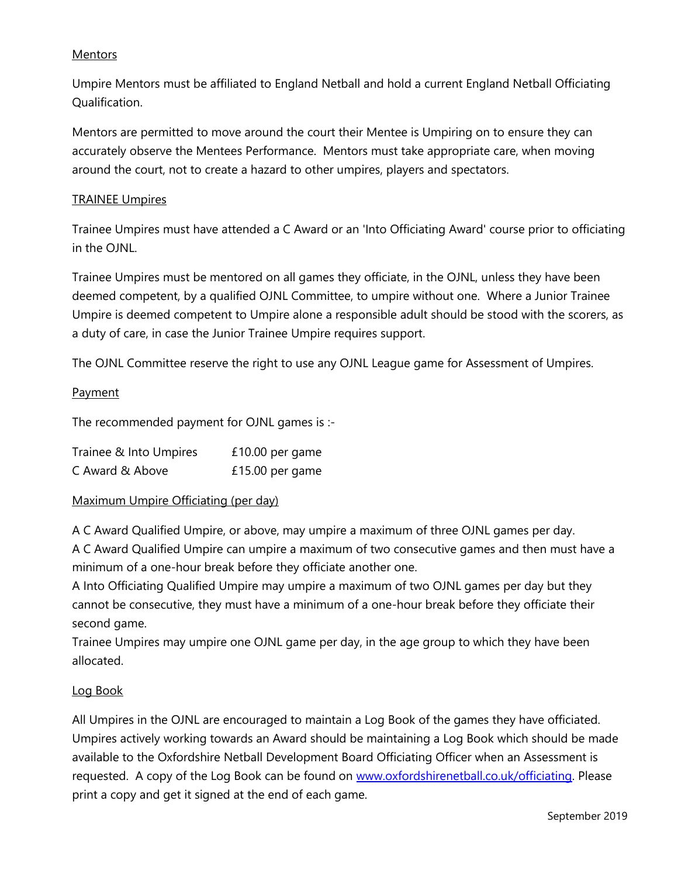# **Mentors**

Umpire Mentors must be affiliated to England Netball and hold a current England Netball Officiating Qualification.

Mentors are permitted to move around the court their Mentee is Umpiring on to ensure they can accurately observe the Mentees Performance. Mentors must take appropriate care, when moving around the court, not to create a hazard to other umpires, players and spectators.

#### TRAINEE Umpires

Trainee Umpires must have attended a C Award or an 'Into Officiating Award' course prior to officiating in the OJNL.

Trainee Umpires must be mentored on all games they officiate, in the OJNL, unless they have been deemed competent, by a qualified OJNL Committee, to umpire without one. Where a Junior Trainee Umpire is deemed competent to Umpire alone a responsible adult should be stood with the scorers, as a duty of care, in case the Junior Trainee Umpire requires support.

The OJNL Committee reserve the right to use any OJNL League game for Assessment of Umpires.

# **Payment**

The recommended payment for OJNL games is :-

| Trainee & Into Umpires | £10.00 per game |
|------------------------|-----------------|
| C Award & Above        | £15.00 per game |

# Maximum Umpire Officiating (per day)

A C Award Qualified Umpire, or above, may umpire a maximum of three OJNL games per day.

A C Award Qualified Umpire can umpire a maximum of two consecutive games and then must have a minimum of a one-hour break before they officiate another one.

A Into Officiating Qualified Umpire may umpire a maximum of two OJNL games per day but they cannot be consecutive, they must have a minimum of a one-hour break before they officiate their second game.

Trainee Umpires may umpire one OJNL game per day, in the age group to which they have been allocated.

# Log Book

All Umpires in the OJNL are encouraged to maintain a Log Book of the games they have officiated. Umpires actively working towards an Award should be maintaining a Log Book which should be made available to the Oxfordshire Netball Development Board Officiating Officer when an Assessment is requested. A copy of the Log Book can be found on [www.oxfordshirenetball.co.uk/officiating.](http://www.oxfordshirenetball.co.uk/officiating) Please print a copy and get it signed at the end of each game.